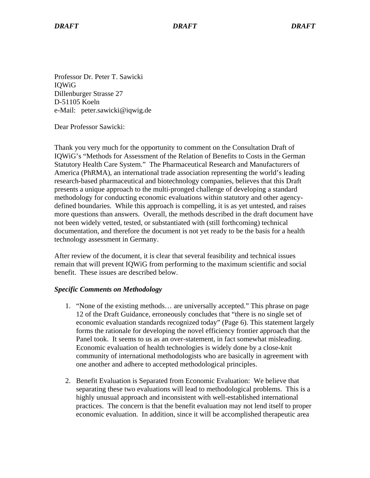Professor Dr. Peter T. Sawicki IQWiG Dillenburger Strasse 27 D-51105 Koeln e-Mail: peter.sawicki@iqwig.de

Dear Professor Sawicki:

Thank you very much for the opportunity to comment on the Consultation Draft of IQWiG's "Methods for Assessment of the Relation of Benefits to Costs in the German Statutory Health Care System." The Pharmaceutical Research and Manufacturers of America (PhRMA), an international trade association representing the world's leading research-based pharmaceutical and biotechnology companies, believes that this Draft presents a unique approach to the multi-pronged challenge of developing a standard methodology for conducting economic evaluations within statutory and other agencydefined boundaries. While this approach is compelling, it is as yet untested, and raises more questions than answers. Overall, the methods described in the draft document have not been widely vetted, tested, or substantiated with (still forthcoming) technical documentation, and therefore the document is not yet ready to be the basis for a health technology assessment in Germany.

After review of the document, it is clear that several feasibility and technical issues remain that will prevent IQWiG from performing to the maximum scientific and social benefit. These issues are described below.

## *Specific Comments on Methodology*

- 1. "None of the existing methods… are universally accepted." This phrase on page 12 of the Draft Guidance, erroneously concludes that "there is no single set of economic evaluation standards recognized today" (Page 6). This statement largely forms the rationale for developing the novel efficiency frontier approach that the Panel took. It seems to us as an over-statement, in fact somewhat misleading. Economic evaluation of health technologies is widely done by a close-knit community of international methodologists who are basically in agreement with one another and adhere to accepted methodological principles.
- 2. Benefit Evaluation is Separated from Economic Evaluation: We believe that separating these two evaluations will lead to methodological problems. This is a highly unusual approach and inconsistent with well-established international practices. The concern is that the benefit evaluation may not lend itself to proper economic evaluation. In addition, since it will be accomplished therapeutic area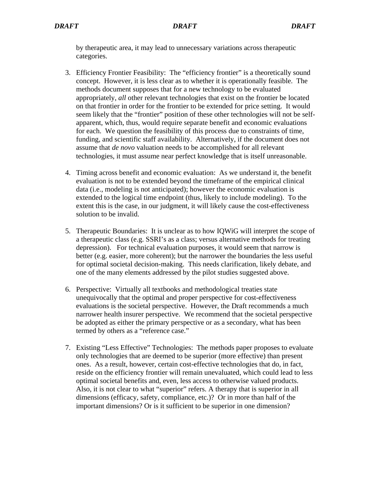by therapeutic area, it may lead to unnecessary variations across therapeutic categories.

- 3. Efficiency Frontier Feasibility: The "efficiency frontier" is a theoretically sound concept. However, it is less clear as to whether it is operationally feasible. The methods document supposes that for a new technology to be evaluated appropriately, *all* other relevant technologies that exist on the frontier be located on that frontier in order for the frontier to be extended for price setting. It would seem likely that the "frontier" position of these other technologies will not be selfapparent, which, thus, would require separate benefit and economic evaluations for each. We question the feasibility of this process due to constraints of time, funding, and scientific staff availability. Alternatively, if the document does not assume that *de novo* valuation needs to be accomplished for all relevant technologies, it must assume near perfect knowledge that is itself unreasonable.
- 4. Timing across benefit and economic evaluation: As we understand it, the benefit evaluation is not to be extended beyond the timeframe of the empirical clinical data (i.e., modeling is not anticipated); however the economic evaluation is extended to the logical time endpoint (thus, likely to include modeling). To the extent this is the case, in our judgment, it will likely cause the cost-effectiveness solution to be invalid.
- 5. Therapeutic Boundaries: It is unclear as to how IQWiG will interpret the scope of a therapeutic class (e.g. SSRI's as a class; versus alternative methods for treating depression). For technical evaluation purposes, it would seem that narrow is better (e.g. easier, more coherent); but the narrower the boundaries the less useful for optimal societal decision-making. This needs clarification, likely debate, and one of the many elements addressed by the pilot studies suggested above.
- 6. Perspective: Virtually all textbooks and methodological treaties state unequivocally that the optimal and proper perspective for cost-effectiveness evaluations is the societal perspective. However, the Draft recommends a much narrower health insurer perspective. We recommend that the societal perspective be adopted as either the primary perspective or as a secondary, what has been termed by others as a "reference case."
- 7. Existing "Less Effective" Technologies: The methods paper proposes to evaluate only technologies that are deemed to be superior (more effective) than present ones. As a result, however, certain cost-effective technologies that do, in fact, reside on the efficiency frontier will remain unevaluated, which could lead to less optimal societal benefits and, even, less access to otherwise valued products. Also, it is not clear to what "superior" refers. A therapy that is superior in all dimensions (efficacy, safety, compliance, etc.)? Or in more than half of the important dimensions? Or is it sufficient to be superior in one dimension?